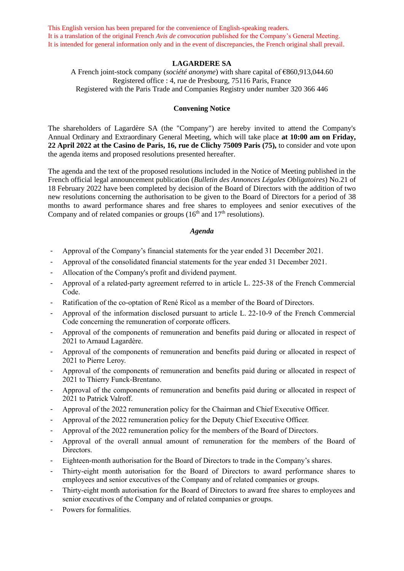This English version has been prepared for the convenience of English-speaking readers. It is a translation of the original French *Avis de convocation* published for the Company's General Meeting. It is intended for general information only and in the event of discrepancies, the French original shall prevail.

# **LAGARDERE SA**

A French joint-stock company (*société anonyme*) with share capital of €860,913,044.60 Registered office : 4, rue de Presbourg, 75116 Paris, France Registered with the Paris Trade and Companies Registry under number 320 366 446

## **Convening Notice**

The shareholders of Lagardère SA (the "Company") are hereby invited to attend the Company's Annual Ordinary and Extraordinary General Meeting, which will take place **at 10:00 am on Friday, 22 April 2022 at the Casino de Paris, 16, rue de Clichy 75009 Paris (75),** to consider and vote upon the agenda items and proposed resolutions presented hereafter.

The agenda and the text of the proposed resolutions included in the Notice of Meeting published in the French official legal announcement publication (*Bulletin des Annonces Légales Obligatoires*) No.21 of 18 February 2022 have been completed by decision of the Board of Directors with the addition of two new resolutions concerning the authorisation to be given to the Board of Directors for a period of 38 months to award performance shares and free shares to employees and senior executives of the Company and of related companies or groups  $(16<sup>th</sup>$  and  $17<sup>th</sup>$  resolutions).

### *Agenda*

- Approval of the Company's financial statements for the year ended 31 December 2021.
- Approval of the consolidated financial statements for the year ended 31 December 2021.
- Allocation of the Company's profit and dividend payment.
- Approval of a related-party agreement referred to in article L. 225-38 of the French Commercial Code.
- Ratification of the co-optation of René Ricol as a member of the Board of Directors.
- Approval of the information disclosed pursuant to article L. 22-10-9 of the French Commercial Code concerning the remuneration of corporate officers.
- Approval of the components of remuneration and benefits paid during or allocated in respect of 2021 to Arnaud Lagardère.
- Approval of the components of remuneration and benefits paid during or allocated in respect of 2021 to Pierre Leroy.
- Approval of the components of remuneration and benefits paid during or allocated in respect of 2021 to Thierry Funck-Brentano.
- Approval of the components of remuneration and benefits paid during or allocated in respect of 2021 to Patrick Valroff.
- Approval of the 2022 remuneration policy for the Chairman and Chief Executive Officer.
- Approval of the 2022 remuneration policy for the Deputy Chief Executive Officer.
- Approval of the 2022 remuneration policy for the members of the Board of Directors.
- Approval of the overall annual amount of remuneration for the members of the Board of Directors.
- Eighteen-month authorisation for the Board of Directors to trade in the Company's shares.
- Thirty-eight month autorisation for the Board of Directors to award performance shares to employees and senior executives of the Company and of related companies or groups.
- Thirty-eight month autorisation for the Board of Directors to award free shares to employees and senior executives of the Company and of related companies or groups.
- Powers for formalities.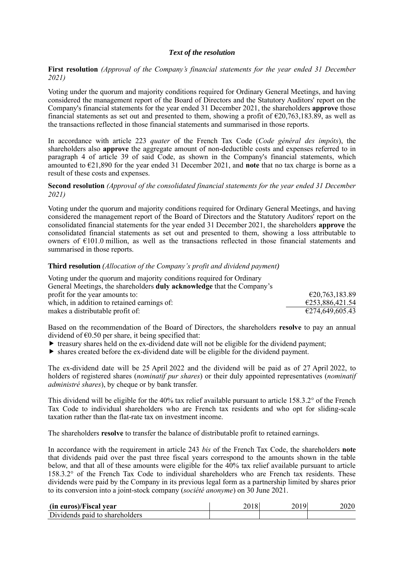#### *Text of the resolution*

**First resolution** *(Approval of the Company's financial statements for the year ended 31 December 2021)*

Voting under the quorum and majority conditions required for Ordinary General Meetings, and having considered the management report of the Board of Directors and the Statutory Auditors' report on the Company's financial statements for the year ended 31 December 2021, the shareholders **approve** those financial statements as set out and presented to them, showing a profit of  $\epsilon$ 20,763,183.89, as well as the transactions reflected in those financial statements and summarised in those reports.

In accordance with article 223 *quater* of the French Tax Code (*Code général des impôts*), the shareholders also **approve** the aggregate amount of non-deductible costs and expenses referred to in paragraph 4 of article 39 of said Code, as shown in the Company's financial statements, which amounted to €21,890 for the year ended 31 December 2021, and **note** that no tax charge is borne as a result of these costs and expenses.

**Second resolution** *(Approval of the consolidated financial statements for the year ended 31 December 2021)*

Voting under the quorum and majority conditions required for Ordinary General Meetings, and having considered the management report of the Board of Directors and the Statutory Auditors' report on the consolidated financial statements for the year ended 31 December 2021, the shareholders **approve** the consolidated financial statements as set out and presented to them, showing a loss attributable to owners of €101.0 million, as well as the transactions reflected in those financial statements and summarised in those reports.

#### **Third resolution** *(Allocation of the Company's profit and dividend payment)*

| Voting under the quorum and majority conditions required for Ordinary         |                 |
|-------------------------------------------------------------------------------|-----------------|
| General Meetings, the shareholders <b>duly acknowledge</b> that the Company's |                 |
| profit for the year amounts to:                                               | €20,763,183.89  |
| which, in addition to retained earnings of:                                   | €253,886,421.54 |
| makes a distributable profit of:                                              | €274,649,605.43 |

Based on the recommendation of the Board of Directors, the shareholders **resolve** to pay an annual dividend of  $\epsilon$ 0.50 per share, it being specified that:

- $\triangleright$  treasury shares held on the ex-dividend date will not be eligible for the dividend payment;
- shares created before the ex-dividend date will be eligible for the dividend payment.

The ex-dividend date will be 25 April 2022 and the dividend will be paid as of 27 April 2022, to holders of registered shares (*nominatif pur shares*) or their duly appointed representatives (*nominatif administré shares*), by cheque or by bank transfer.

This dividend will be eligible for the 40% tax relief available pursuant to article 158.3.2° of the French Tax Code to individual shareholders who are French tax residents and who opt for sliding-scale taxation rather than the flat-rate tax on investment income.

The shareholders **resolve** to transfer the balance of distributable profit to retained earnings.

In accordance with the requirement in article 243 *bis* of the French Tax Code, the shareholders **note** that dividends paid over the past three fiscal years correspond to the amounts shown in the table below, and that all of these amounts were eligible for the 40% tax relief available pursuant to article 158.3.2° of the French Tax Code to individual shareholders who are French tax residents. These dividends were paid by the Company in its previous legal form as a partnership limited by shares prior to its conversion into a joint-stock company (*société anonyme*) on 30 June 2021.

| (in euros)/Fiscal year         | 2018 | 2019 | 2020 |
|--------------------------------|------|------|------|
| Dividends paid to shareholders |      |      |      |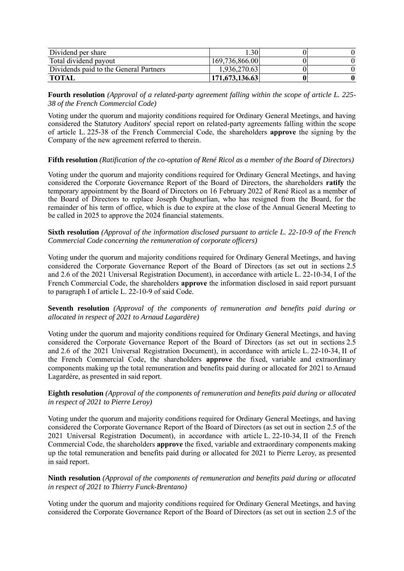| Dividend per share                     | $1.30^{+}$     |  |
|----------------------------------------|----------------|--|
| Total dividend payout                  | 169,736,866.00 |  |
| Dividends paid to the General Partners | 1,936,270.63   |  |
| TOTAL                                  | 171,673,136.63 |  |

**Fourth resolution** *(Approval of a related-party agreement falling within the scope of article L. 225- 38 of the French Commercial Code)*

Voting under the quorum and majority conditions required for Ordinary General Meetings, and having considered the Statutory Auditors' special report on related-party agreements falling within the scope of article L. 225-38 of the French Commercial Code, the shareholders **approve** the signing by the Company of the new agreement referred to therein.

**Fifth resolution** *(Ratification of the co-optation of René Ricol as a member of the Board of Directors)*

Voting under the quorum and majority conditions required for Ordinary General Meetings, and having considered the Corporate Governance Report of the Board of Directors, the shareholders **ratify** the temporary appointment by the Board of Directors on 16 February 2022 of René Ricol as a member of the Board of Directors to replace Joseph Oughourlian, who has resigned from the Board, for the remainder of his term of office, which is due to expire at the close of the Annual General Meeting to be called in 2025 to approve the 2024 financial statements.

**Sixth resolution** *(Approval of the information disclosed pursuant to article L. 22-10-9 of the French Commercial Code concerning the remuneration of corporate officers)*

Voting under the quorum and majority conditions required for Ordinary General Meetings, and having considered the Corporate Governance Report of the Board of Directors (as set out in sections 2.5 and 2.6 of the 2021 Universal Registration Document), in accordance with article L. 22-10-34, I of the French Commercial Code, the shareholders **approve** the information disclosed in said report pursuant to paragraph I of article L. 22-10-9 of said Code.

**Seventh resolution** *(Approval of the components of remuneration and benefits paid during or allocated in respect of 2021 to Arnaud Lagardère)*

Voting under the quorum and majority conditions required for Ordinary General Meetings, and having considered the Corporate Governance Report of the Board of Directors (as set out in sections 2.5 and 2.6 of the 2021 Universal Registration Document), in accordance with article L. 22-10-34, II of the French Commercial Code, the shareholders **approve** the fixed, variable and extraordinary components making up the total remuneration and benefits paid during or allocated for 2021 to Arnaud Lagardère, as presented in said report.

## **Eighth resolution** *(Approval of the components of remuneration and benefits paid during or allocated in respect of 2021 to Pierre Leroy)*

Voting under the quorum and majority conditions required for Ordinary General Meetings, and having considered the Corporate Governance Report of the Board of Directors (as set out in section 2.5 of the 2021 Universal Registration Document), in accordance with article L. 22-10-34, II of the French Commercial Code, the shareholders **approve** the fixed, variable and extraordinary components making up the total remuneration and benefits paid during or allocated for 2021 to Pierre Leroy, as presented in said report.

## **Ninth resolution** *(Approval of the components of remuneration and benefits paid during or allocated in respect of 2021 to Thierry Funck-Brentano)*

Voting under the quorum and majority conditions required for Ordinary General Meetings, and having considered the Corporate Governance Report of the Board of Directors (as set out in section 2.5 of the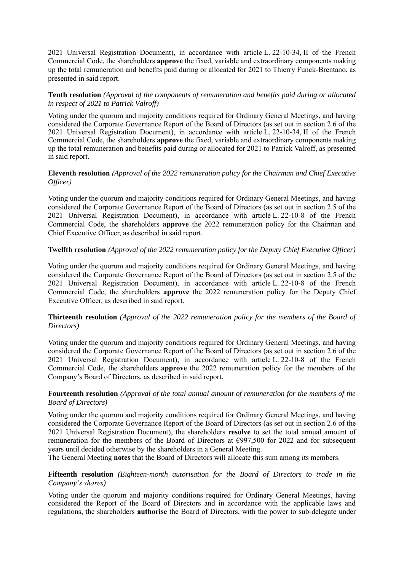2021 Universal Registration Document), in accordance with article L. 22-10-34, II of the French Commercial Code, the shareholders **approve** the fixed, variable and extraordinary components making up the total remuneration and benefits paid during or allocated for 2021 to Thierry Funck-Brentano, as presented in said report.

## **Tenth resolution** *(Approval of the components of remuneration and benefits paid during or allocated in respect of 2021 to Patrick Valroff)*

Voting under the quorum and majority conditions required for Ordinary General Meetings, and having considered the Corporate Governance Report of the Board of Directors (as set out in section 2.6 of the 2021 Universal Registration Document), in accordance with article L. 22-10-34, II of the French Commercial Code, the shareholders **approve** the fixed, variable and extraordinary components making up the total remuneration and benefits paid during or allocated for 2021 to Patrick Valroff, as presented in said report.

## **Eleventh resolution** *(Approval of the 2022 remuneration policy for the Chairman and Chief Executive Officer)*

Voting under the quorum and majority conditions required for Ordinary General Meetings, and having considered the Corporate Governance Report of the Board of Directors (as set out in section 2.5 of the 2021 Universal Registration Document), in accordance with article L. 22-10-8 of the French Commercial Code, the shareholders **approve** the 2022 remuneration policy for the Chairman and Chief Executive Officer, as described in said report.

# **Twelfth resolution** *(Approval of the 2022 remuneration policy for the Deputy Chief Executive Officer)*

Voting under the quorum and majority conditions required for Ordinary General Meetings, and having considered the Corporate Governance Report of the Board of Directors (as set out in section 2.5 of the 2021 Universal Registration Document), in accordance with article L. 22-10-8 of the French Commercial Code, the shareholders **approve** the 2022 remuneration policy for the Deputy Chief Executive Officer, as described in said report.

## **Thirteenth resolution** *(Approval of the 2022 remuneration policy for the members of the Board of Directors)*

Voting under the quorum and majority conditions required for Ordinary General Meetings, and having considered the Corporate Governance Report of the Board of Directors (as set out in section 2.6 of the 2021 Universal Registration Document), in accordance with article L. 22-10-8 of the French Commercial Code, the shareholders **approve** the 2022 remuneration policy for the members of the Company's Board of Directors, as described in said report.

## **Fourteenth resolution** *(Approval of the total annual amount of remuneration for the members of the Board of Directors)*

Voting under the quorum and majority conditions required for Ordinary General Meetings, and having considered the Corporate Governance Report of the Board of Directors (as set out in section 2.6 of the 2021 Universal Registration Document), the shareholders **resolve** to set the total annual amount of remuneration for the members of the Board of Directors at €997,500 for 2022 and for subsequent years until decided otherwise by the shareholders in a General Meeting.

The General Meeting **notes** that the Board of Directors will allocate this sum among its members.

## **Fifteenth resolution** *(Eighteen-month autorisation for the Board of Directors to trade in the Company's shares)*

Voting under the quorum and majority conditions required for Ordinary General Meetings, having considered the Report of the Board of Directors and in accordance with the applicable laws and regulations, the shareholders **authorise** the Board of Directors, with the power to sub-delegate under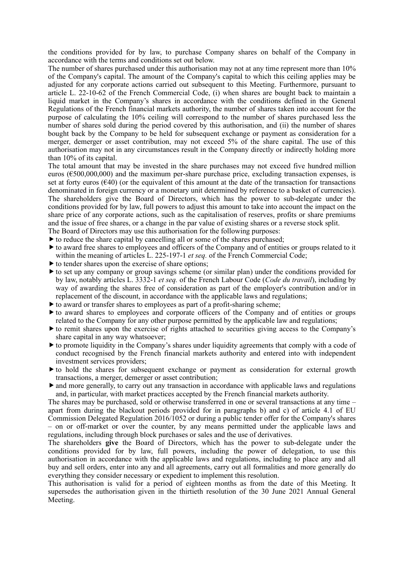the conditions provided for by law, to purchase Company shares on behalf of the Company in accordance with the terms and conditions set out below.

The number of shares purchased under this authorisation may not at any time represent more than 10% of the Company's capital. The amount of the Company's capital to which this ceiling applies may be adjusted for any corporate actions carried out subsequent to this Meeting. Furthermore, pursuant to article L. 22-10-62 of the French Commercial Code, (i) when shares are bought back to maintain a liquid market in the Company's shares in accordance with the conditions defined in the General Regulations of the French financial markets authority, the number of shares taken into account for the purpose of calculating the 10% ceiling will correspond to the number of shares purchased less the number of shares sold during the period covered by this authorisation, and (ii) the number of shares bought back by the Company to be held for subsequent exchange or payment as consideration for a merger, demerger or asset contribution, may not exceed 5% of the share capital. The use of this authorisation may not in any circumstances result in the Company directly or indirectly holding more than 10% of its capital.

The total amount that may be invested in the share purchases may not exceed five hundred million euros ( $\epsilon$ 500,000,000) and the maximum per-share purchase price, excluding transaction expenses, is set at forty euros  $(\epsilon 40)$  (or the equivalent of this amount at the date of the transaction for transactions denominated in foreign currency or a monetary unit determined by reference to a basket of currencies). The shareholders give the Board of Directors, which has the power to sub-delegate under the conditions provided for by law, full powers to adjust this amount to take into account the impact on the share price of any corporate actions, such as the capitalisation of reserves, profits or share premiums and the issue of free shares, or a change in the par value of existing shares or a reverse stock split.

The Board of Directors may use this authorisation for the following purposes:

- $\triangleright$  to reduce the share capital by cancelling all or some of the shares purchased;
- to award free shares to employees and officers of the Company and of entities or groups related to it within the meaning of articles L. 225-197-1 *et seq.* of the French Commercial Code;
- $\triangleright$  to tender shares upon the exercise of share options;
- $\blacktriangleright$  to set up any company or group savings scheme (or similar plan) under the conditions provided for by law, notably articles L. 3332-1 *et seq.* of the French Labour Code (*Code du travail*), including by way of awarding the shares free of consideration as part of the employer's contribution and/or in replacement of the discount, in accordance with the applicable laws and regulations;
- $\triangleright$  to award or transfer shares to employees as part of a profit-sharing scheme;
- to award shares to employees and corporate officers of the Company and of entities or groups related to the Company for any other purpose permitted by the applicable law and regulations;
- to remit shares upon the exercise of rights attached to securities giving access to the Company's share capital in any way whatsoever;
- to promote liquidity in the Company's shares under liquidity agreements that comply with a code of conduct recognised by the French financial markets authority and entered into with independent investment services providers;
- to hold the shares for subsequent exchange or payment as consideration for external growth transactions, a merger, demerger or asset contribution;
- and more generally, to carry out any transaction in accordance with applicable laws and regulations and, in particular, with market practices accepted by the French financial markets authority.

The shares may be purchased, sold or otherwise transferred in one or several transactions at any time – apart from during the blackout periods provided for in paragraphs b) and c) of article 4.1 of EU Commission Delegated Regulation 2016/1052 or during a public tender offer for the Company's shares – on or off-market or over the counter, by any means permitted under the applicable laws and regulations, including through block purchases or sales and the use of derivatives.

The shareholders **give** the Board of Directors, which has the power to sub-delegate under the conditions provided for by law, full powers, including the power of delegation, to use this authorisation in accordance with the applicable laws and regulations, including to place any and all buy and sell orders, enter into any and all agreements, carry out all formalities and more generally do everything they consider necessary or expedient to implement this resolution.

This authorisation is valid for a period of eighteen months as from the date of this Meeting. It supersedes the authorisation given in the thirtieth resolution of the 30 June 2021 Annual General Meeting.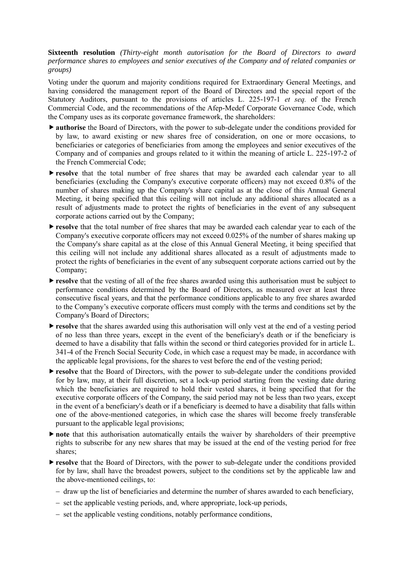**Sixteenth resolution** *(Thirty-eight month autorisation for the Board of Directors to award performance shares to employees and senior executives of the Company and of related companies or groups)*

Voting under the quorum and majority conditions required for Extraordinary General Meetings, and having considered the management report of the Board of Directors and the special report of the Statutory Auditors, pursuant to the provisions of articles L. 225-197-1 *et seq.* of the French Commercial Code, and the recommendations of the Afep-Medef Corporate Governance Code, which the Company uses as its corporate governance framework, the shareholders:

- **Example 3** authorise the Board of Directors, with the power to sub-delegate under the conditions provided for by law, to award existing or new shares free of consideration, on one or more occasions, to beneficiaries or categories of beneficiaries from among the employees and senior executives of the Company and of companies and groups related to it within the meaning of article L. 225-197-2 of the French Commercial Code;
- **resolve** that the total number of free shares that may be awarded each calendar year to all beneficiaries (excluding the Company's executive corporate officers) may not exceed 0.8% of the number of shares making up the Company's share capital as at the close of this Annual General Meeting, it being specified that this ceiling will not include any additional shares allocated as a result of adjustments made to protect the rights of beneficiaries in the event of any subsequent corporate actions carried out by the Company;
- **Figure resolve** that the total number of free shares that may be awarded each calendar year to each of the Company's executive corporate officers may not exceed 0.025% of the number of shares making up the Company's share capital as at the close of this Annual General Meeting, it being specified that this ceiling will not include any additional shares allocated as a result of adjustments made to protect the rights of beneficiaries in the event of any subsequent corporate actions carried out by the Company;
- **resolve** that the vesting of all of the free shares awarded using this authorisation must be subject to performance conditions determined by the Board of Directors, as measured over at least three consecutive fiscal years, and that the performance conditions applicable to any free shares awarded to the Company's executive corporate officers must comply with the terms and conditions set by the Company's Board of Directors;
- **resolve** that the shares awarded using this authorisation will only vest at the end of a vesting period of no less than three years, except in the event of the beneficiary's death or if the beneficiary is deemed to have a disability that falls within the second or third categories provided for in article L. 341-4 of the French Social Security Code, in which case a request may be made, in accordance with the applicable legal provisions, for the shares to vest before the end of the vesting period;
- **resolve** that the Board of Directors, with the power to sub-delegate under the conditions provided for by law, may, at their full discretion, set a lock-up period starting from the vesting date during which the beneficiaries are required to hold their vested shares, it being specified that for the executive corporate officers of the Company, the said period may not be less than two years, except in the event of a beneficiary's death or if a beneficiary is deemed to have a disability that falls within one of the above-mentioned categories, in which case the shares will become freely transferable pursuant to the applicable legal provisions;
- **note** that this authorisation automatically entails the waiver by shareholders of their preemptive rights to subscribe for any new shares that may be issued at the end of the vesting period for free shares;
- **Figure** that the Board of Directors, with the power to sub-delegate under the conditions provided for by law, shall have the broadest powers, subject to the conditions set by the applicable law and the above-mentioned ceilings, to:
	- − draw up the list of beneficiaries and determine the number of shares awarded to each beneficiary,
	- − set the applicable vesting periods, and, where appropriate, lock-up periods,
	- − set the applicable vesting conditions, notably performance conditions,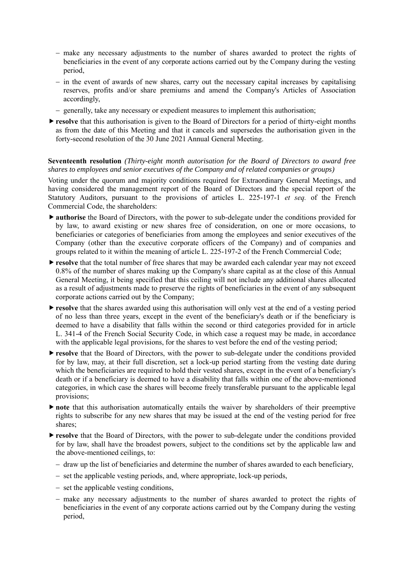- − make any necessary adjustments to the number of shares awarded to protect the rights of beneficiaries in the event of any corporate actions carried out by the Company during the vesting period,
- − in the event of awards of new shares, carry out the necessary capital increases by capitalising reserves, profits and/or share premiums and amend the Company's Articles of Association accordingly,
- − generally, take any necessary or expedient measures to implement this authorisation;
- **Figure** that this authorisation is given to the Board of Directors for a period of thirty-eight months as from the date of this Meeting and that it cancels and supersedes the authorisation given in the forty-second resolution of the 30 June 2021 Annual General Meeting.

### **Seventeenth resolution** *(Thirty-eight month autorisation for the Board of Directors to award free shares to employees and senior executives of the Company and of related companies or groups)*

Voting under the quorum and majority conditions required for Extraordinary General Meetings, and having considered the management report of the Board of Directors and the special report of the Statutory Auditors, pursuant to the provisions of articles L. 225-197-1 *et seq.* of the French Commercial Code, the shareholders:

- **Example 3** authorise the Board of Directors, with the power to sub-delegate under the conditions provided for by law, to award existing or new shares free of consideration, on one or more occasions, to beneficiaries or categories of beneficiaries from among the employees and senior executives of the Company (other than the executive corporate officers of the Company) and of companies and groups related to it within the meaning of article L. 225-197-2 of the French Commercial Code;
- **Figure** that the total number of free shares that may be awarded each calendar year may not exceed 0.8% of the number of shares making up the Company's share capital as at the close of this Annual General Meeting, it being specified that this ceiling will not include any additional shares allocated as a result of adjustments made to preserve the rights of beneficiaries in the event of any subsequent corporate actions carried out by the Company;
- **resolve** that the shares awarded using this authorisation will only vest at the end of a vesting period of no less than three years, except in the event of the beneficiary's death or if the beneficiary is deemed to have a disability that falls within the second or third categories provided for in article L. 341-4 of the French Social Security Code, in which case a request may be made, in accordance with the applicable legal provisions, for the shares to vest before the end of the vesting period;
- **P** resolve that the Board of Directors, with the power to sub-delegate under the conditions provided for by law, may, at their full discretion, set a lock-up period starting from the vesting date during which the beneficiaries are required to hold their vested shares, except in the event of a beneficiary's death or if a beneficiary is deemed to have a disability that falls within one of the above-mentioned categories, in which case the shares will become freely transferable pursuant to the applicable legal provisions;
- **Inote** that this authorisation automatically entails the waiver by shareholders of their preemptive rights to subscribe for any new shares that may be issued at the end of the vesting period for free shares;
- **resolve** that the Board of Directors, with the power to sub-delegate under the conditions provided for by law, shall have the broadest powers, subject to the conditions set by the applicable law and the above-mentioned ceilings, to:
	- − draw up the list of beneficiaries and determine the number of shares awarded to each beneficiary,
	- − set the applicable vesting periods, and, where appropriate, lock-up periods,
	- − set the applicable vesting conditions,
	- − make any necessary adjustments to the number of shares awarded to protect the rights of beneficiaries in the event of any corporate actions carried out by the Company during the vesting period,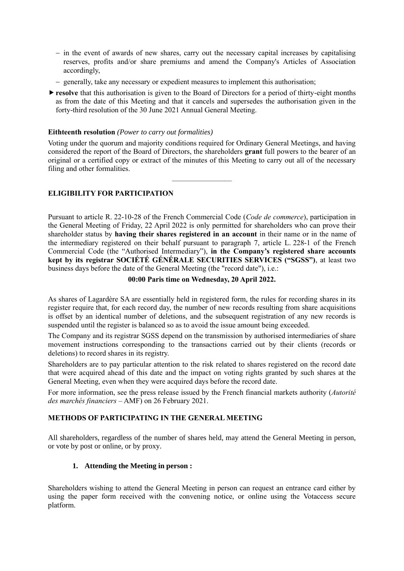- − in the event of awards of new shares, carry out the necessary capital increases by capitalising reserves, profits and/or share premiums and amend the Company's Articles of Association accordingly,
- − generally, take any necessary or expedient measures to implement this authorisation;
- **resolve** that this authorisation is given to the Board of Directors for a period of thirty-eight months as from the date of this Meeting and that it cancels and supersedes the authorisation given in the forty-third resolution of the 30 June 2021 Annual General Meeting.

## **Eithteenth resolution** *(Power to carry out formalities)*

Voting under the quorum and majority conditions required for Ordinary General Meetings, and having considered the report of the Board of Directors, the shareholders **grant** full powers to the bearer of an original or a certified copy or extract of the minutes of this Meeting to carry out all of the necessary filing and other formalities.

 $\overline{\phantom{a}}$ 

# **ELIGIBILITY FOR PARTICIPATION**

Pursuant to article R. 22-10-28 of the French Commercial Code (*Code de commerce*), participation in the General Meeting of Friday, 22 April 2022 is only permitted for shareholders who can prove their shareholder status by **having their shares registered in an account** in their name or in the name of the intermediary registered on their behalf pursuant to paragraph 7, article L. 228-1 of the French Commercial Code (the "Authorised Intermediary"), **in the Company's registered share accounts kept by its registrar SOCIÉTÉ GÉNÉRALE SECURITIES SERVICES ("SGSS")**, at least two business days before the date of the General Meeting (the "record date"), i.e.:

## **00:00 Paris time on Wednesday, 20 April 2022.**

As shares of Lagardère SA are essentially held in registered form, the rules for recording shares in its register require that, for each record day, the number of new records resulting from share acquisitions is offset by an identical number of deletions, and the subsequent registration of any new records is suspended until the register is balanced so as to avoid the issue amount being exceeded.

The Company and its registrar SGSS depend on the transmission by authorised intermediaries of share movement instructions corresponding to the transactions carried out by their clients (records or deletions) to record shares in its registry.

Shareholders are to pay particular attention to the risk related to shares registered on the record date that were acquired ahead of this date and the impact on voting rights granted by such shares at the General Meeting, even when they were acquired days before the record date.

For more information, see the press release issued by the French financial markets authority (*Autorité des marchés financiers* – AMF) on 26 February 2021.

# **METHODS OF PARTICIPATING IN THE GENERAL MEETING**

All shareholders, regardless of the number of shares held, may attend the General Meeting in person, or vote by post or online, or by proxy.

# **1. Attending the Meeting in person :**

Shareholders wishing to attend the General Meeting in person can request an entrance card either by using the paper form received with the convening notice, or online using the Votaccess secure platform.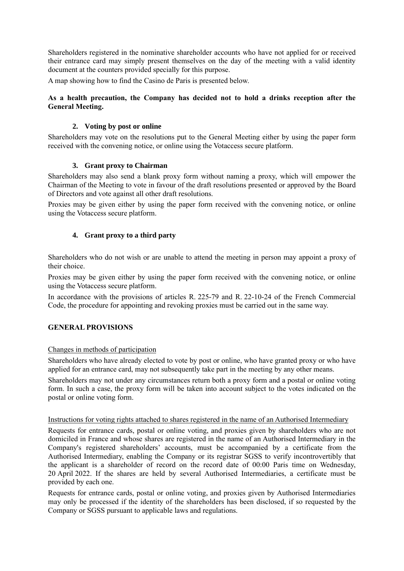Shareholders registered in the nominative shareholder accounts who have not applied for or received their entrance card may simply present themselves on the day of the meeting with a valid identity document at the counters provided specially for this purpose.

A map showing how to find the Casino de Paris is presented below.

## **As a health precaution, the Company has decided not to hold a drinks reception after the General Meeting.**

# **2. Voting by post or online**

Shareholders may vote on the resolutions put to the General Meeting either by using the paper form received with the convening notice, or online using the Votaccess secure platform.

# **3. Grant proxy to Chairman**

Shareholders may also send a blank proxy form without naming a proxy, which will empower the Chairman of the Meeting to vote in favour of the draft resolutions presented or approved by the Board of Directors and vote against all other draft resolutions.

Proxies may be given either by using the paper form received with the convening notice, or online using the Votaccess secure platform.

# **4. Grant proxy to a third party**

Shareholders who do not wish or are unable to attend the meeting in person may appoint a proxy of their choice.

Proxies may be given either by using the paper form received with the convening notice, or online using the Votaccess secure platform.

In accordance with the provisions of articles R. 225-79 and R. 22-10-24 of the French Commercial Code, the procedure for appointing and revoking proxies must be carried out in the same way.

# **GENERAL PROVISIONS**

### Changes in methods of participation

Shareholders who have already elected to vote by post or online, who have granted proxy or who have applied for an entrance card, may not subsequently take part in the meeting by any other means.

Shareholders may not under any circumstances return both a proxy form and a postal or online voting form. In such a case, the proxy form will be taken into account subject to the votes indicated on the postal or online voting form.

### Instructions for voting rights attached to shares registered in the name of an Authorised Intermediary

Requests for entrance cards, postal or online voting, and proxies given by shareholders who are not domiciled in France and whose shares are registered in the name of an Authorised Intermediary in the Company's registered shareholders' accounts, must be accompanied by a certificate from the Authorised Intermediary, enabling the Company or its registrar SGSS to verify incontrovertibly that the applicant is a shareholder of record on the record date of 00:00 Paris time on Wednesday, 20 April 2022. If the shares are held by several Authorised Intermediaries, a certificate must be provided by each one.

Requests for entrance cards, postal or online voting, and proxies given by Authorised Intermediaries may only be processed if the identity of the shareholders has been disclosed, if so requested by the Company or SGSS pursuant to applicable laws and regulations.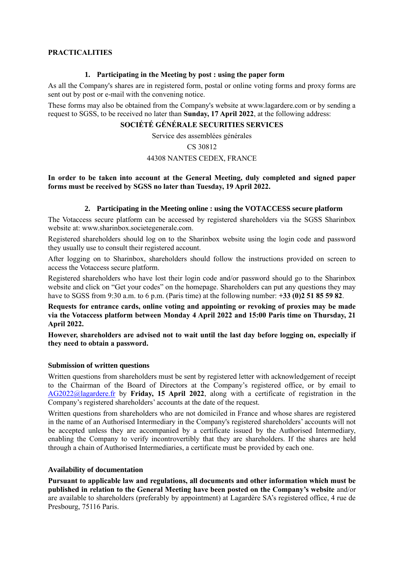## **PRACTICALITIES**

### **1. Participating in the Meeting by post : using the paper form**

As all the Company's shares are in registered form, postal or online voting forms and proxy forms are sent out by post or e-mail with the convening notice.

These forms may also be obtained from the Company's website at www.lagardere.com or by sending a request to SGSS, to be received no later than **Sunday, 17 April 2022**, at the following address:

### **SOCIÉTÉ GÉNÉRALE SECURITIES SERVICES**

Service des assemblées générales

### CS 30812

#### 44308 NANTES CEDEX, FRANCE

**In order to be taken into account at the General Meeting, duly completed and signed paper forms must be received by SGSS no later than Tuesday, 19 April 2022.**

### **2. Participating in the Meeting online : using the VOTACCESS secure platform**

The Votaccess secure platform can be accessed by registered shareholders via the SGSS Sharinbox website at: www.sharinbox.societegenerale.com.

Registered shareholders should log on to the Sharinbox website using the login code and password they usually use to consult their registered account.

After logging on to Sharinbox, shareholders should follow the instructions provided on screen to access the Votaccess secure platform.

Registered shareholders who have lost their login code and/or password should go to the Sharinbox website and click on "Get your codes" on the homepage. Shareholders can put any questions they may have to SGSS from 9:30 a.m. to 6 p.m. (Paris time) at the following number: **+33 (0)2 51 85 59 82**.

**Requests for entrance cards, online voting and appointing or revoking of proxies may be made via the Votaccess platform between Monday 4 April 2022 and 15:00 Paris time on Thursday, 21 April 2022.**

**However, shareholders are advised not to wait until the last day before logging on, especially if they need to obtain a password.**

#### **Submission of written questions**

Written questions from shareholders must be sent by registered letter with acknowledgement of receipt to the Chairman of the Board of Directors at the Company's registered office, or by email to [AG2022@lagardere.fr](mailto:AG2022@lagardere.fr) by **Friday, 15 April 2022**, along with a certificate of registration in the Company's registered shareholders' accounts at the date of the request.

Written questions from shareholders who are not domiciled in France and whose shares are registered in the name of an Authorised Intermediary in the Company's registered shareholders' accounts will not be accepted unless they are accompanied by a certificate issued by the Authorised Intermediary, enabling the Company to verify incontrovertibly that they are shareholders. If the shares are held through a chain of Authorised Intermediaries, a certificate must be provided by each one.

### **Availability of documentation**

**Pursuant to applicable law and regulations, all documents and other information which must be published in relation to the General Meeting have been posted on the Company's website** and/or are available to shareholders (preferably by appointment) at Lagardère SA's registered office, 4 rue de Presbourg, 75116 Paris.